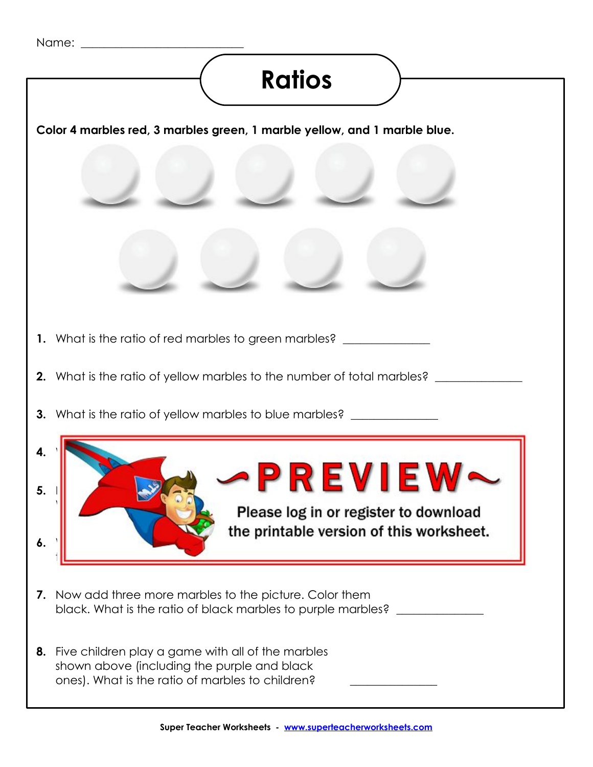## **Ratios**

**Color 4 marbles red, 3 marbles green, 1 marble yellow, and 1 marble blue.**

- **1.** What is the ratio of red marbles to green marbles? \_\_\_\_\_\_\_\_\_\_\_\_\_\_\_\_\_\_\_\_\_\_\_\_\_
- **2.** What is the ratio of yellow marbles to the number of total marbles? \_\_\_\_\_\_\_\_\_
- **3.** What is the ratio of yellow marbles to blue marbles? \_\_\_\_\_\_\_\_\_\_\_\_\_\_\_

## $4.$  What is the ratio of green matrix  $\mathcal{L}_{\mathcal{A}}$ **5. Now added the PREVIEW~**

Please log in or register to download **6.** What is the ratio of purple matrix of purple matrix  $\mathbf{r} = \mathbf{r} \cdot \mathbf{r}$ 

**7.** Now add three more marbles to the picture. Color them black. What is the ratio of black marbles to purple marbles? \_\_\_\_\_\_\_\_\_\_\_\_\_\_\_\_\_\_\_

the number of mathematic that are not purely  $\mathcal{L}_\mathcal{A}$ 

**8.** Five children play a game with all of the marbles shown above (including the purple and black ones). What is the ratio of marbles to children? \_\_\_\_\_\_\_\_\_\_\_\_\_\_\_